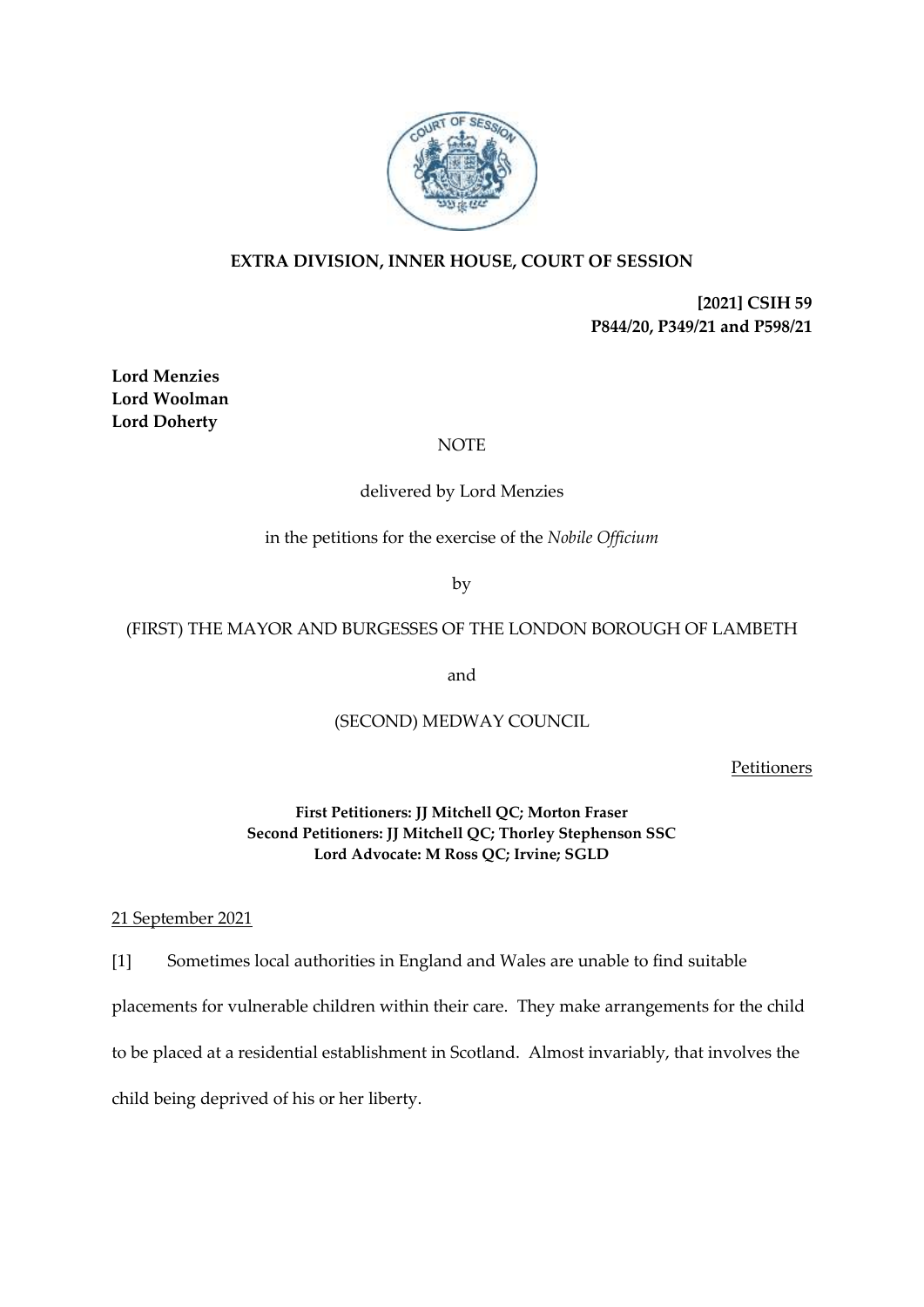

# **EXTRA DIVISION, INNER HOUSE, COURT OF SESSION**

**[2021] CSIH 59 P844/20, P349/21 and P598/21**

**Lord Menzies Lord Woolman Lord Doherty**

### NOTE

## delivered by Lord Menzies

in the petitions for the exercise of the *Nobile Officium*

by

### (FIRST) THE MAYOR AND BURGESSES OF THE LONDON BOROUGH OF LAMBETH

and

## (SECOND) MEDWAY COUNCIL

**Petitioners** 

**First Petitioners: JJ Mitchell QC; Morton Fraser Second Petitioners: JJ Mitchell QC; Thorley Stephenson SSC Lord Advocate: M Ross QC; Irvine; SGLD**

#### 21 September 2021

[1] Sometimes local authorities in England and Wales are unable to find suitable placements for vulnerable children within their care. They make arrangements for the child to be placed at a residential establishment in Scotland. Almost invariably, that involves the child being deprived of his or her liberty.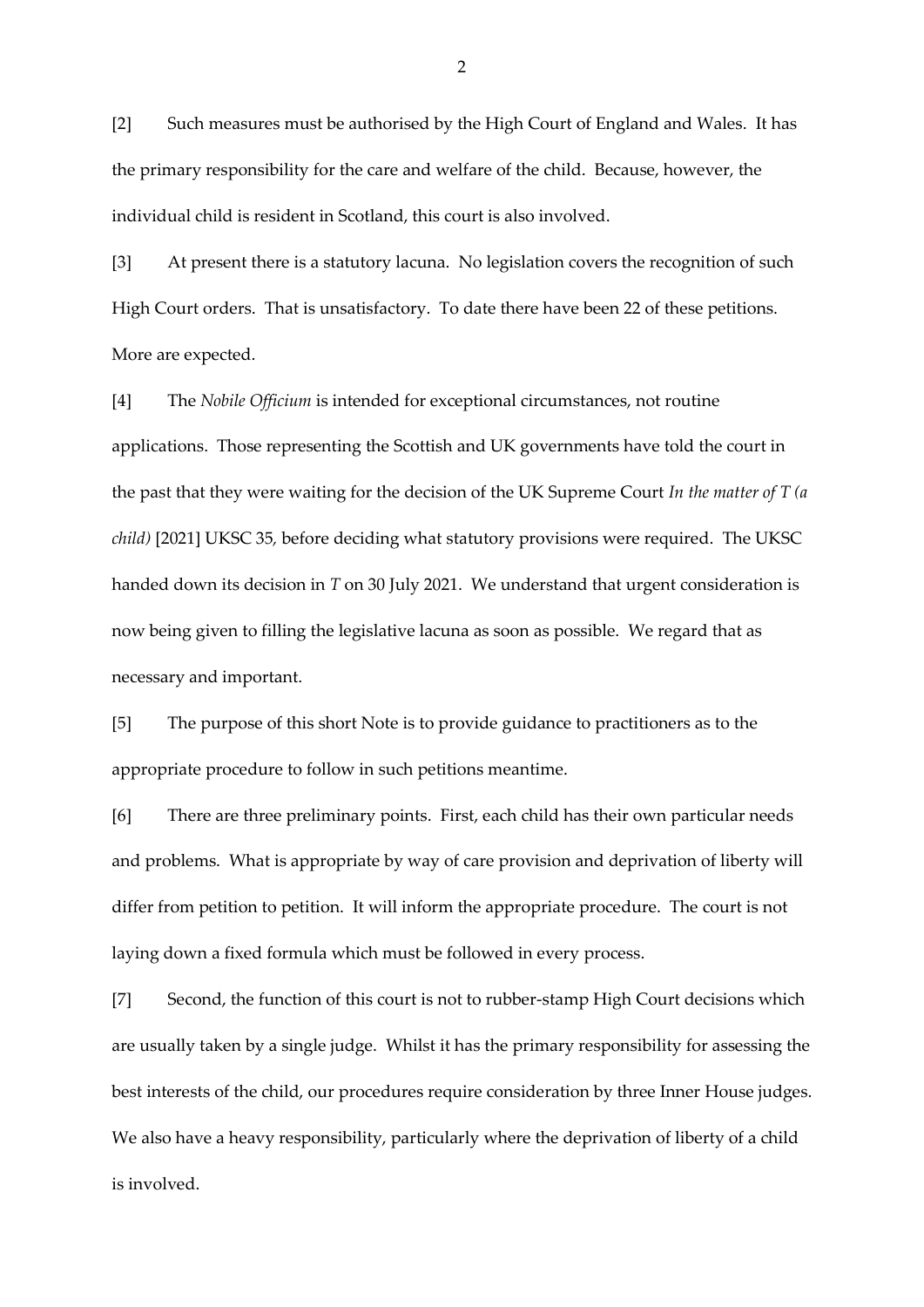[2] Such measures must be authorised by the High Court of England and Wales. It has the primary responsibility for the care and welfare of the child. Because, however, the individual child is resident in Scotland, this court is also involved.

[3] At present there is a statutory lacuna. No legislation covers the recognition of such High Court orders. That is unsatisfactory. To date there have been 22 of these petitions. More are expected.

[4] The *Nobile Officium* is intended for exceptional circumstances, not routine applications. Those representing the Scottish and UK governments have told the court in the past that they were waiting for the decision of the UK Supreme Court *In the matter of T (a child)* [2021] UKSC 35*,* before deciding what statutory provisions were required. The UKSC handed down its decision in *T* on 30 July 2021. We understand that urgent consideration is now being given to filling the legislative lacuna as soon as possible. We regard that as necessary and important.

[5] The purpose of this short Note is to provide guidance to practitioners as to the appropriate procedure to follow in such petitions meantime.

[6] There are three preliminary points. First, each child has their own particular needs and problems. What is appropriate by way of care provision and deprivation of liberty will differ from petition to petition. It will inform the appropriate procedure. The court is not laying down a fixed formula which must be followed in every process.

[7] Second, the function of this court is not to rubber-stamp High Court decisions which are usually taken by a single judge. Whilst it has the primary responsibility for assessing the best interests of the child, our procedures require consideration by three Inner House judges. We also have a heavy responsibility, particularly where the deprivation of liberty of a child is involved.

2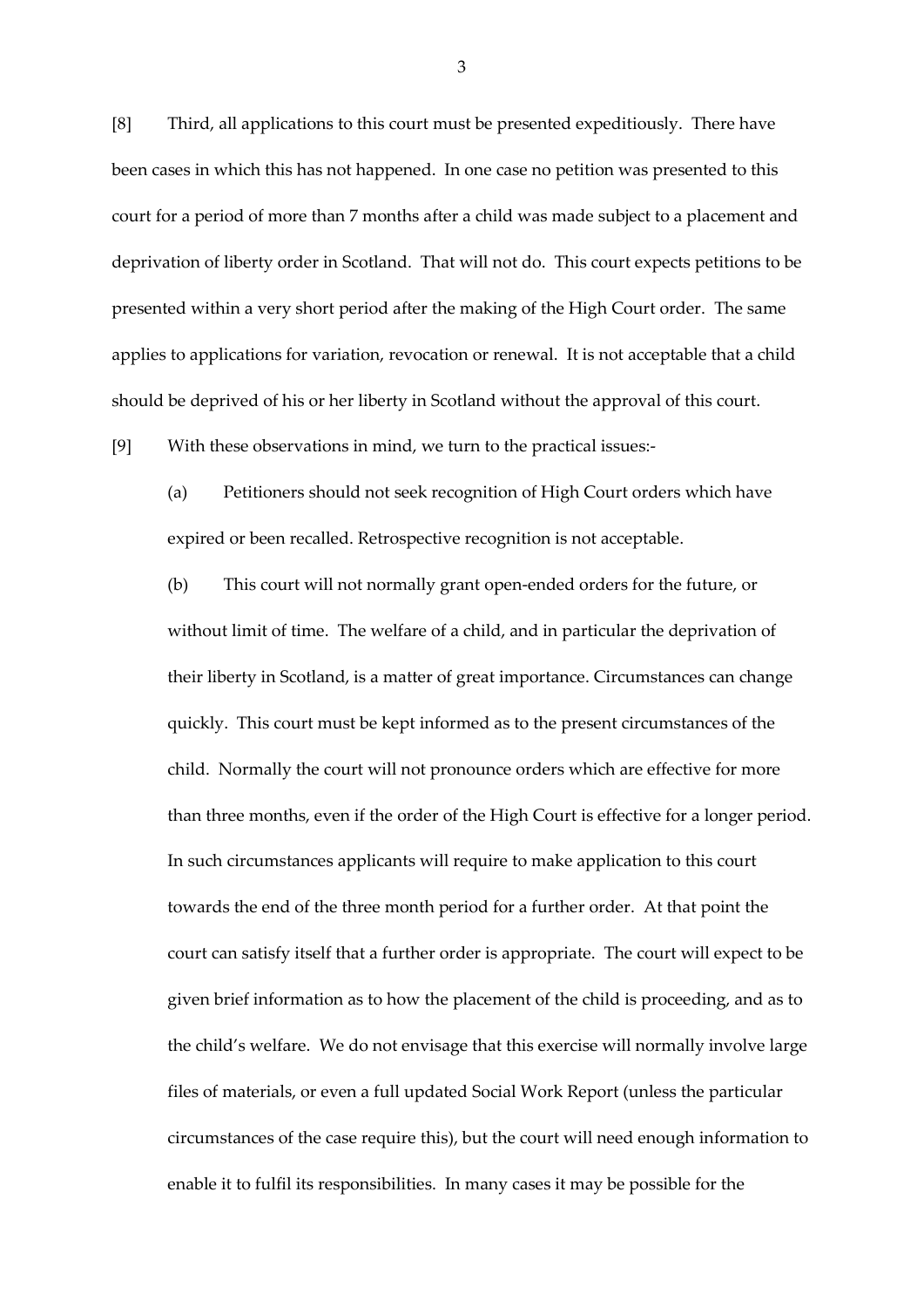[8] Third, all applications to this court must be presented expeditiously. There have been cases in which this has not happened. In one case no petition was presented to this court for a period of more than 7 months after a child was made subject to a placement and deprivation of liberty order in Scotland. That will not do. This court expects petitions to be presented within a very short period after the making of the High Court order. The same applies to applications for variation, revocation or renewal. It is not acceptable that a child should be deprived of his or her liberty in Scotland without the approval of this court.

[9] With these observations in mind, we turn to the practical issues:-

(a) Petitioners should not seek recognition of High Court orders which have expired or been recalled. Retrospective recognition is not acceptable.

(b) This court will not normally grant open-ended orders for the future, or without limit of time. The welfare of a child, and in particular the deprivation of their liberty in Scotland, is a matter of great importance. Circumstances can change quickly. This court must be kept informed as to the present circumstances of the child. Normally the court will not pronounce orders which are effective for more than three months, even if the order of the High Court is effective for a longer period. In such circumstances applicants will require to make application to this court towards the end of the three month period for a further order. At that point the court can satisfy itself that a further order is appropriate. The court will expect to be given brief information as to how the placement of the child is proceeding, and as to the child's welfare. We do not envisage that this exercise will normally involve large files of materials, or even a full updated Social Work Report (unless the particular circumstances of the case require this), but the court will need enough information to enable it to fulfil its responsibilities. In many cases it may be possible for the

3